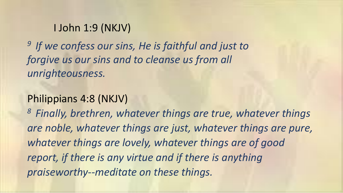#### I John 1:9 (NKJV)

*<sup>9</sup>If we confess our sins, He is faithful and just to forgive us our sins and to cleanse us from all unrighteousness.* 

#### Philippians 4:8 (NKJV)

*<sup>8</sup>Finally, brethren, whatever things are true, whatever things are noble, whatever things are just, whatever things are pure, whatever things are lovely, whatever things are of good report, if there is any virtue and if there is anything praiseworthy--meditate on these things.*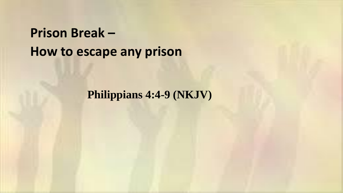# **Prison Break – How to escape any prison**

**Philippians 4:4-9 (NKJV)**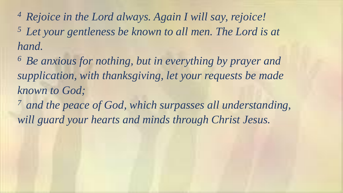- *<sup>4</sup>Rejoice in the Lord always. Again I will say, rejoice! <sup>5</sup>Let your gentleness be known to all men. The Lord is at hand.*
- *<sup>6</sup>Be anxious for nothing, but in everything by prayer and supplication, with thanksgiving, let your requests be made known to God;*
- *<sup>7</sup>and the peace of God, which surpasses all understanding, will guard your hearts and minds through Christ Jesus.*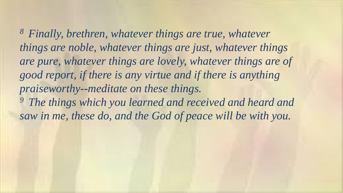*<sup>8</sup>Finally, brethren, whatever things are true, whatever things are noble, whatever things are just, whatever things are pure, whatever things are lovely, whatever things are of good report, if there is any virtue and if there is anything praiseworthy--meditate on these things. <sup>9</sup>The things which you learned and received and heard and saw in me, these do, and the God of peace will be with you.*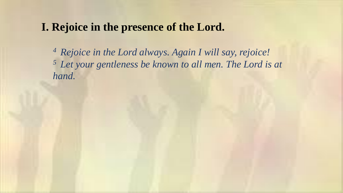#### **I. Rejoice in the presence of the Lord.**

*<sup>4</sup>Rejoice in the Lord always. Again I will say, rejoice! <sup>5</sup>Let your gentleness be known to all men. The Lord is at hand.*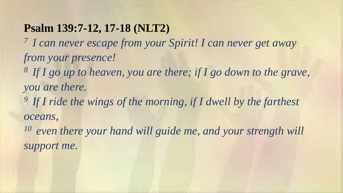## **Psalm 139:7-12, 17-18 (NLT2)**

*<sup>7</sup>I can never escape from your Spirit! I can never get away from your presence!* 

*<sup>8</sup>If I go up to heaven, you are there; if I go down to the grave, you are there.* 

*<sup>9</sup>If I ride the wings of the morning, if I dwell by the farthest oceans,* 

*<sup>10</sup>even there your hand will guide me, and your strength will support me.*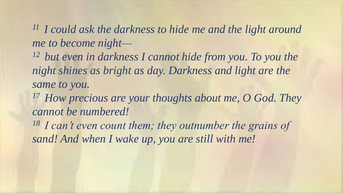*<sup>11</sup>I could ask the darkness to hide me and the light around me to become night—*

*<sup>12</sup>but even in darkness I cannot hide from you. To you the night shines as bright as day. Darkness and light are the same to you.* 

*<sup>17</sup>How precious are your thoughts about me, O God. They cannot be numbered!* 

*<sup>18</sup>I can't even count them; they outnumber the grains of sand! And when I wake up, you are still with me!*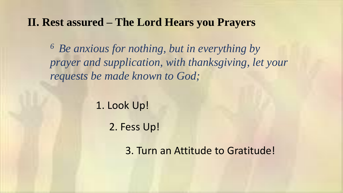#### **II. Rest assured – The Lord Hears you Prayers**

*<sup>6</sup>Be anxious for nothing, but in everything by prayer and supplication, with thanksgiving, let your requests be made known to God;* 

1. Look Up!

2. Fess Up!

3. Turn an Attitude to Gratitude!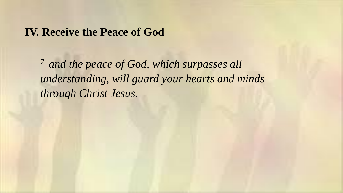#### **IV. Receive the Peace of God**

*<sup>7</sup>and the peace of God, which surpasses all understanding, will guard your hearts and minds through Christ Jesus.*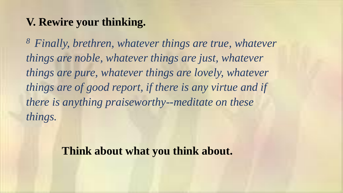### **V. Rewire your thinking.**

*<sup>8</sup>Finally, brethren, whatever things are true, whatever things are noble, whatever things are just, whatever things are pure, whatever things are lovely, whatever things are of good report, if there is any virtue and if there is anything praiseworthy--meditate on these things.* 

#### **Think about what you think about.**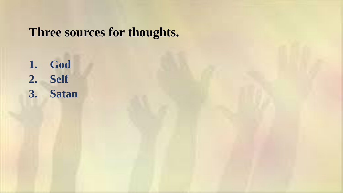# **Three sources for thoughts.**

**1. God 2. Self 3. Satan**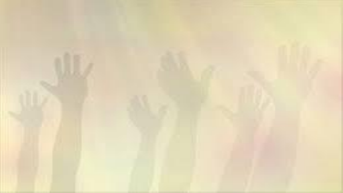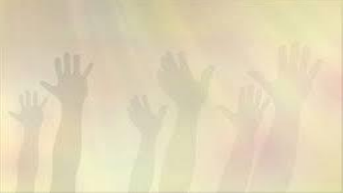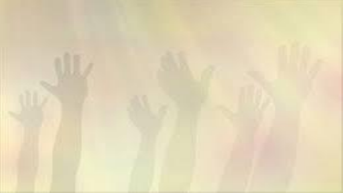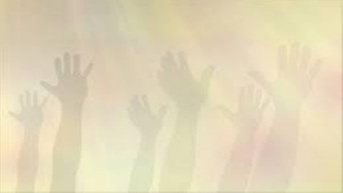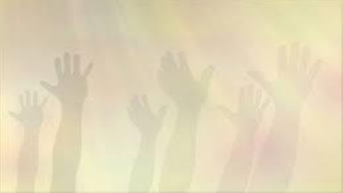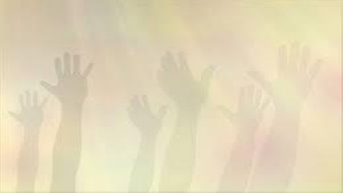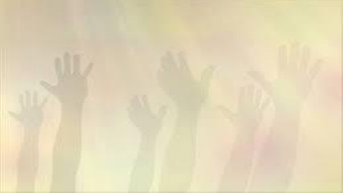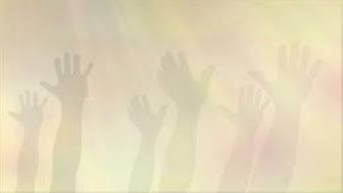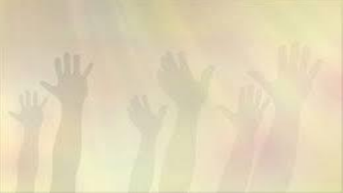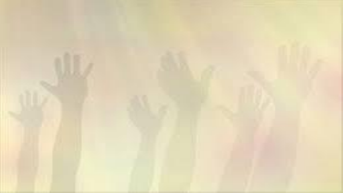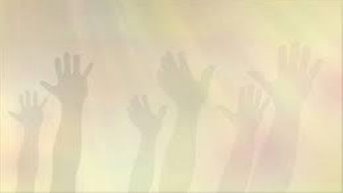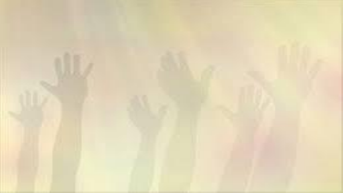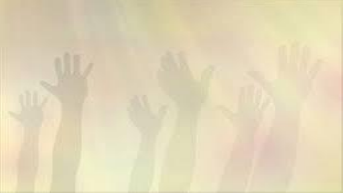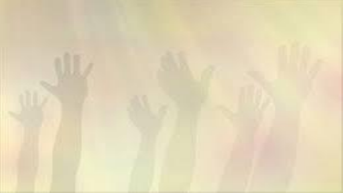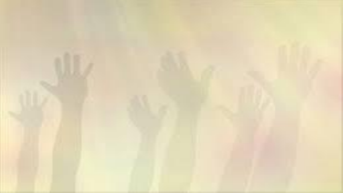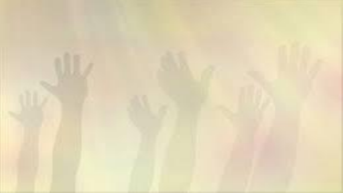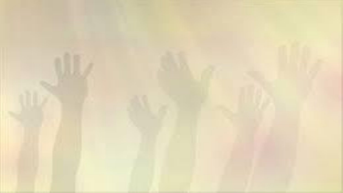